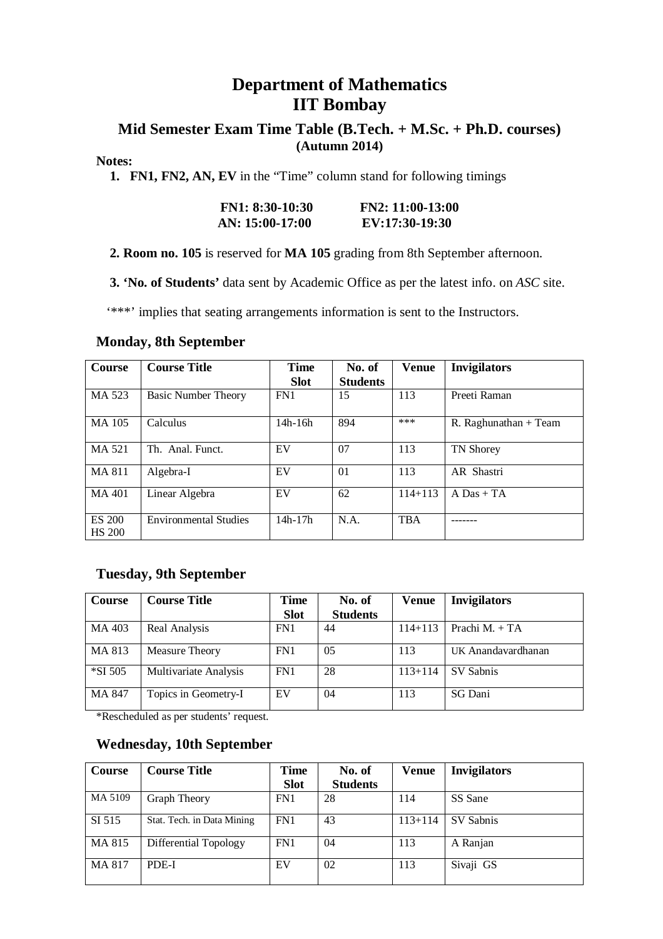### **Department of Mathematics IIT Bombay**

### **Mid Semester Exam Time Table (B.Tech. + M.Sc. + Ph.D. courses) (Autumn 2014)**

#### **Notes:**

 **1. FN1, FN2, AN, EV** in the "Time" column stand for following timings

| $FN1: 8:30-10:30$ | $FN2: 11:00-13:00$ |
|-------------------|--------------------|
| AN: 15:00-17:00   | EV:17:30-19:30     |

 **2. Room no. 105** is reserved for **MA 105** grading from 8th September afternoon.

 **3. 'No. of Students'** data sent by Academic Office as per the latest info. on *ASC* site.

'\*\*\*' implies that seating arrangements information is sent to the Instructors.

#### **Monday, 8th September**

| Course                         | <b>Course Title</b>          | <b>Time</b><br><b>Slot</b> | No. of<br><b>Students</b> | <b>Venue</b> | <b>Invigilators</b>     |
|--------------------------------|------------------------------|----------------------------|---------------------------|--------------|-------------------------|
| MA 523                         | <b>Basic Number Theory</b>   | FN1                        | 15                        | 113          | Preeti Raman            |
| MA 105                         | Calculus                     | $14h-16h$                  | 894                       | ***          | R. Raghunathan $+$ Team |
| MA 521                         | Th. Anal. Funct.             | EV                         | 07                        | 113          | <b>TN Shorey</b>        |
| MA 811                         | Algebra-I                    | EV                         | 01                        | 113          | AR Shastri              |
| MA 401                         | Linear Algebra               | EV                         | 62                        | $114 + 113$  | $A$ Das + TA            |
| <b>ES 200</b><br><b>HS 200</b> | <b>Environmental Studies</b> | $14h-17h$                  | N.A.                      | <b>TBA</b>   |                         |

#### **Tuesday, 9th September**

| <b>Course</b> | <b>Course Title</b>   | <b>Time</b> | No. of          | <b>Venue</b> | <b>Invigilators</b> |
|---------------|-----------------------|-------------|-----------------|--------------|---------------------|
|               |                       | <b>Slot</b> | <b>Students</b> |              |                     |
| MA 403        | Real Analysis         | FN1         | 44              | $114 + 113$  | Prachi $M_{+} + TA$ |
| MA 813        | Measure Theory        | FN1         | 05              | 113          | UK Anandavardhanan  |
| *SI 505       | Multivariate Analysis | FN1         | 28              | $113+114$    | SV Sabnis           |
| MA 847        | Topics in Geometry-I  | EV          | 04              | 113          | SG Dani             |

\*Rescheduled as per students' request.

### **Wednesday, 10th September**

| <b>Course</b> | <b>Course Title</b>        | <b>Time</b> | No. of          | Venue       | <b>Invigilators</b> |
|---------------|----------------------------|-------------|-----------------|-------------|---------------------|
|               |                            | <b>Slot</b> | <b>Students</b> |             |                     |
| MA 5109       | Graph Theory               | FN1         | 28              | 114         | SS Sane             |
| SI 515        | Stat. Tech. in Data Mining | FN1         | 43              | $113 + 114$ | SV Sabnis           |
| MA 815        | Differential Topology      | FN1         | 04              | 113         | A Ranjan            |
| MA 817        | PDE-I                      | EV          | 02              | 113         | Sivaji GS           |